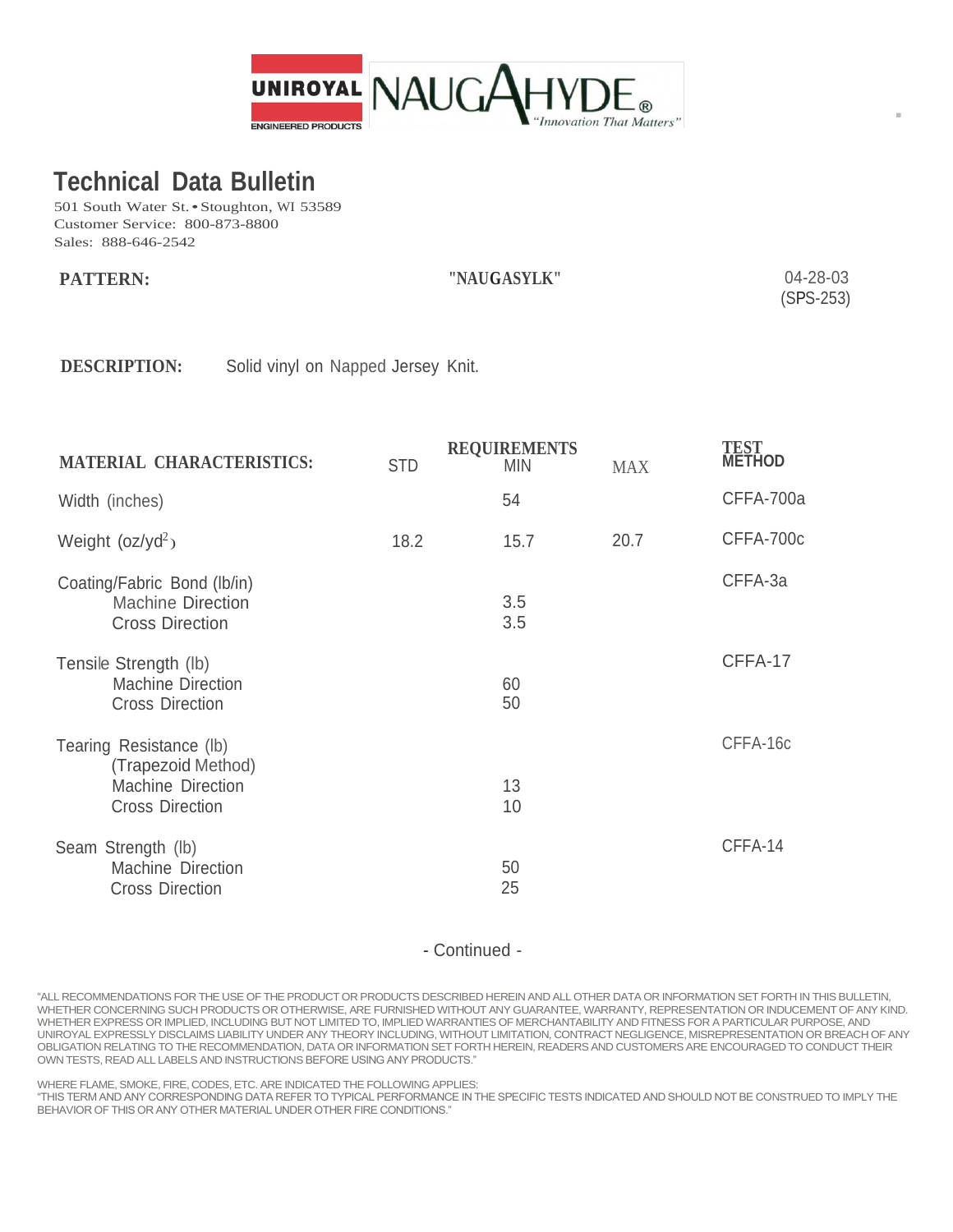

**-**

## **Technical Data Bulletin**

501 South Water St. • Stoughton, WI 53589 Customer Service: 800-873-8800 Sales: 888-646-2542

| <b>PATTERN:</b> | "NAUGASYLK" | 04-28-03    |
|-----------------|-------------|-------------|
|                 |             | $(SPS-253)$ |

**DESCRIPTION:** Solid vinyl on Napped Jersey Knit.

| <b>MATERIAL CHARACTERISTICS:</b>                                                             | <b>STD</b> | <b>REQUIREMENTS</b><br><b>MIN</b> | <b>MAX</b> | <b>TEST<br/>METHOD</b> |
|----------------------------------------------------------------------------------------------|------------|-----------------------------------|------------|------------------------|
| Width (inches)                                                                               |            | 54                                |            | CFFA-700a              |
| Weight $(oz/yd^2)$                                                                           | 18.2       | 15.7                              | 20.7       | CFFA-700c              |
| Coating/Fabric Bond (lb/in)<br><b>Machine Direction</b><br><b>Cross Direction</b>            |            | 3.5<br>3.5                        |            | CFFA-3a                |
| Tensile Strength (lb)<br><b>Machine Direction</b><br><b>Cross Direction</b>                  |            | 60<br>50                          |            | CFFA-17                |
| Tearing Resistance (lb)<br>(Trapezoid Method)<br>Machine Direction<br><b>Cross Direction</b> |            | 13<br>10                          |            | CFFA-16c               |
| Seam Strength (lb)<br><b>Machine Direction</b><br><b>Cross Direction</b>                     |            | 50<br>25                          |            | CFFA-14                |

- Continued -

"ALL RECOMMENDATIONS FOR THE USE OF THE PRODUCT OR PRODUCTS DESCRIBED HEREIN AND ALL OTHER DATA OR INFORMATION SET FORTH IN THIS BULLETIN, WHETHER CONCERNING SUCH PRODUCTS OR OTHERWISE, ARE FURNISHED WITHOUT ANY GUARANTEE, WARRANTY, REPRESENTATION OR INDUCEMENT OF ANY KIND. WHETHER EXPRESS OR IMPLIED, INCLUDING BUT NOT LIMITED TO, IMPLIED WARRANTIES OF MERCHANTABILITY AND FITNESS FOR A PARTICULAR PURPOSE, AND UNIROYAL EXPRESSLY DISCLAIMS LIABILITY UNDER ANY THEORY INCLUDING, WITHOUT LIMITATION, CONTRACT NEGLIGENCE, MISREPRESENTATION OR BREACH OF ANY OBLIGATION RELATING TO THE RECOMMENDATION, DATA OR INFORMATION SET FORTH HEREIN, READERS AND CUSTOMERS ARE ENCOURAGED TO CONDUCT THEIR OWN TESTS, READ ALL LABELS AND INSTRUCTIONS BEFORE USING ANY PRODUCTS."

WHERE FLAME, SMOKE, FIRE, CODES, ETC. ARE INDICATED THE FOLLOWING APPLIES:

"THIS TERM AND ANY CORRESPONDING DATA REFER TO TYPICAL PERFORMANCE IN THE SPECIFIC TESTS INDICATED AND SHOULD NOT BE CONSTRUED TO IMPLY THE BEHAVIOR OF THIS OR ANY OTHER MATERIAL UNDER OTHER FIRE CONDITIONS."